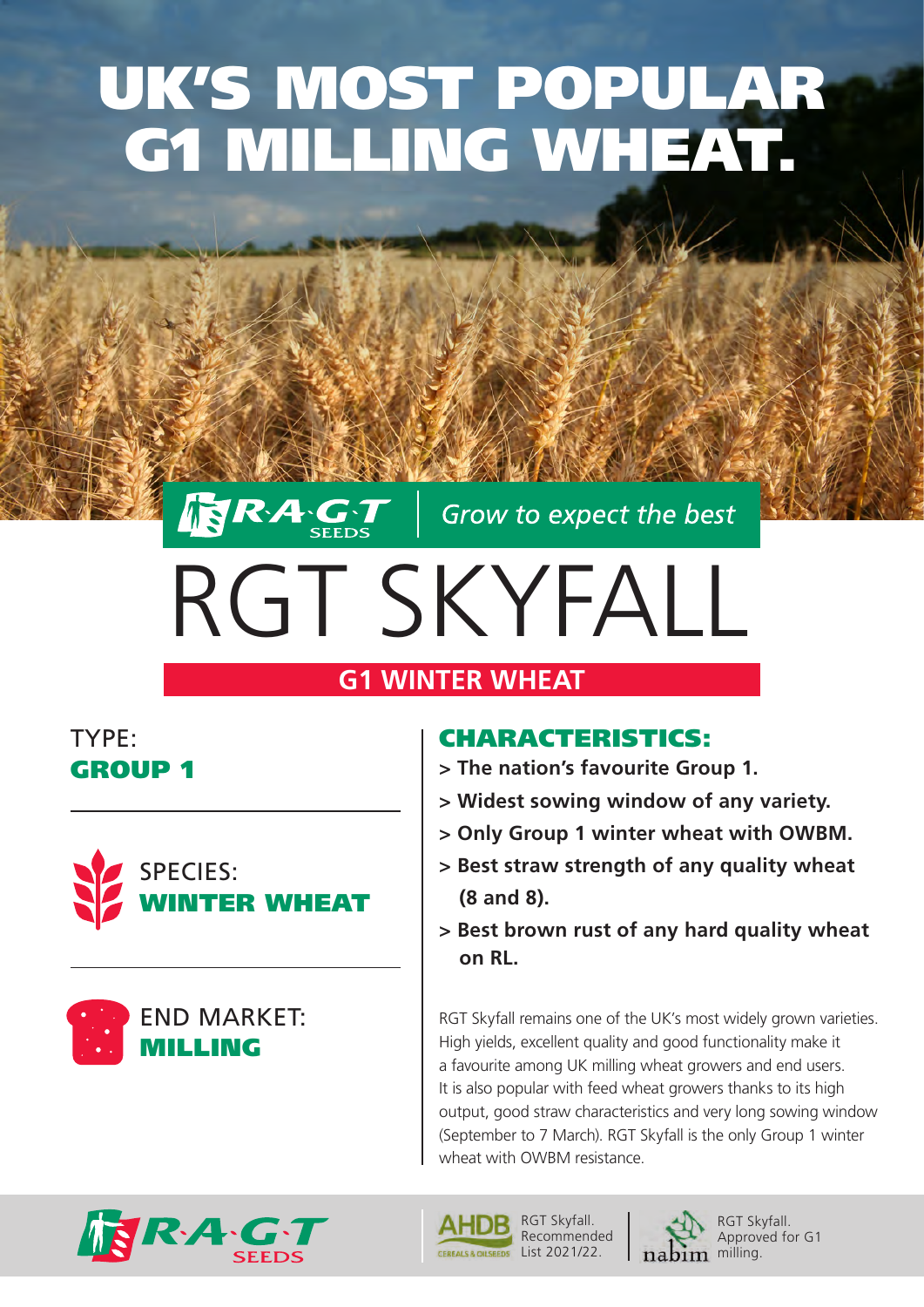# UK'S MOST POPULAR G1 MILLING WHEAT.

# RAGT RGT SKYFALL

## **G1 WINTER WHEAT**

#### TYPE: GROUP 1





### CHARACTERISTICS:

**> The nation's favourite Group 1.** 

Grow to expect the best

- **> Widest sowing window of any variety.**
- **> Only Group 1 winter wheat with OWBM.**
- **> Best straw strength of any quality wheat (8 and 8).**
- **> Best brown rust of any hard quality wheat on RL.**

RGT Skyfall remains one of the UK's most widely grown varieties. High yields, excellent quality and good functionality make it a favourite among UK milling wheat growers and end users. It is also popular with feed wheat growers thanks to its high output, good straw characteristics and very long sowing window (September to 7 March). RGT Skyfall is the only Group 1 winter wheat with OWBM resistance.







RGT Skyfall. Approved for G1